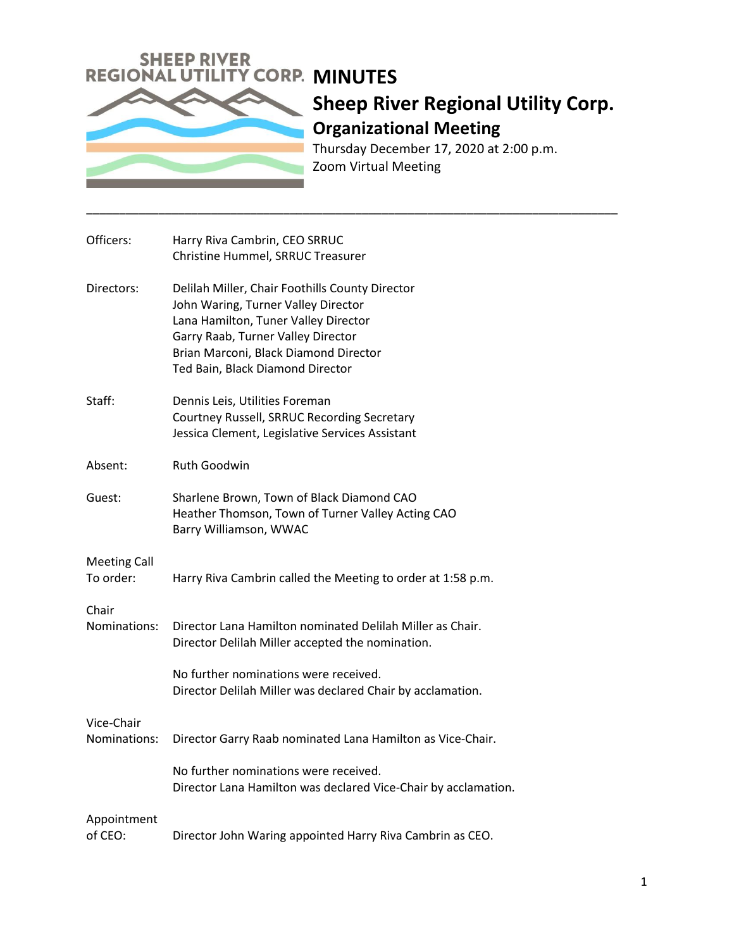

## **Sheep River Regional Utility Corp. Organizational Meeting**  Thursday December 17, 2020 at 2:00 p.m.

Zoom Virtual Meeting

\_\_\_\_\_\_\_\_\_\_\_\_\_\_\_\_\_\_\_\_\_\_\_\_\_\_\_\_\_\_\_\_\_\_\_\_\_\_\_\_\_\_\_\_\_\_\_\_\_\_\_\_\_\_\_\_\_\_\_\_\_\_\_\_\_\_\_\_\_\_\_\_\_\_\_\_\_\_\_\_\_

| Officers:                        | Harry Riva Cambrin, CEO SRRUC<br>Christine Hummel, SRRUC Treasurer                                                                                                                                                                                |
|----------------------------------|---------------------------------------------------------------------------------------------------------------------------------------------------------------------------------------------------------------------------------------------------|
| Directors:                       | Delilah Miller, Chair Foothills County Director<br>John Waring, Turner Valley Director<br>Lana Hamilton, Tuner Valley Director<br>Garry Raab, Turner Valley Director<br>Brian Marconi, Black Diamond Director<br>Ted Bain, Black Diamond Director |
| Staff:                           | Dennis Leis, Utilities Foreman<br>Courtney Russell, SRRUC Recording Secretary<br>Jessica Clement, Legislative Services Assistant                                                                                                                  |
| Absent:                          | Ruth Goodwin                                                                                                                                                                                                                                      |
| Guest:                           | Sharlene Brown, Town of Black Diamond CAO<br>Heather Thomson, Town of Turner Valley Acting CAO<br>Barry Williamson, WWAC                                                                                                                          |
| <b>Meeting Call</b><br>To order: | Harry Riva Cambrin called the Meeting to order at 1:58 p.m.                                                                                                                                                                                       |
| Chair<br>Nominations:            | Director Lana Hamilton nominated Delilah Miller as Chair.<br>Director Delilah Miller accepted the nomination.                                                                                                                                     |
|                                  | No further nominations were received.<br>Director Delilah Miller was declared Chair by acclamation.                                                                                                                                               |
| Vice-Chair<br>Nominations:       | Director Garry Raab nominated Lana Hamilton as Vice-Chair.                                                                                                                                                                                        |
|                                  | No further nominations were received.<br>Director Lana Hamilton was declared Vice-Chair by acclamation.                                                                                                                                           |
| Appointment<br>of CEO:           | Director John Waring appointed Harry Riva Cambrin as CEO.                                                                                                                                                                                         |